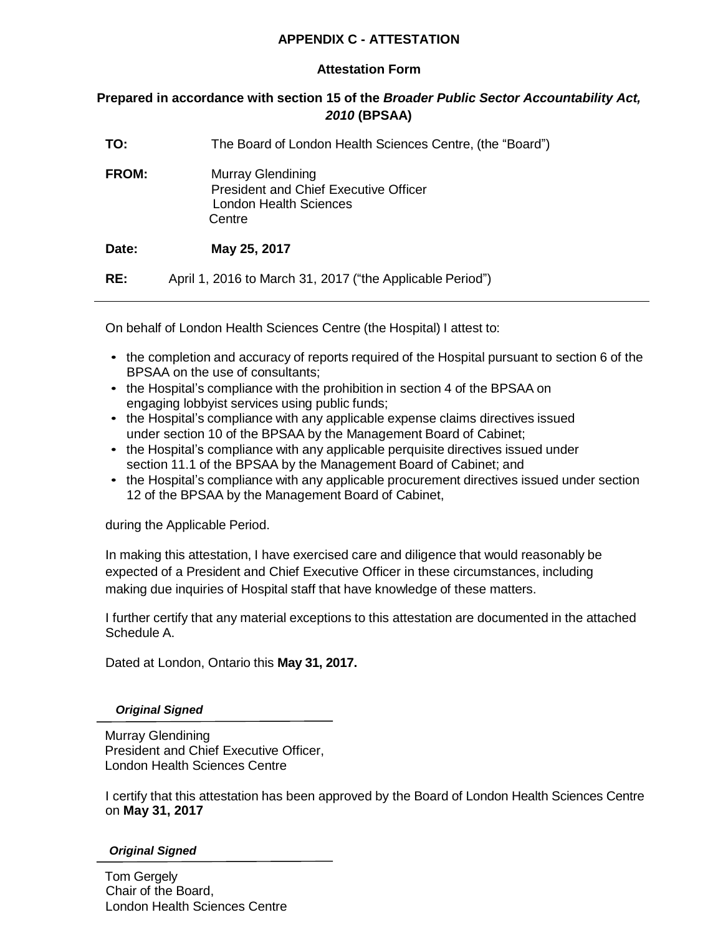## **APPENDIX C - ATTESTATION**

## **Attestation Form**

## **Prepared in accordance with section 15 of the** *Broader Public Sector Accountability Act, 2010* **(BPSAA)**

| TO:          | The Board of London Health Sciences Centre, (the "Board")                                                    |
|--------------|--------------------------------------------------------------------------------------------------------------|
| <b>FROM:</b> | Murray Glendining<br><b>President and Chief Executive Officer</b><br><b>London Health Sciences</b><br>Centre |
| Date:        | May 25, 2017                                                                                                 |
| RE:          | April 1, 2016 to March 31, 2017 ("the Applicable Period")                                                    |

On behalf of London Health Sciences Centre (the Hospital) I attest to:

- the completion and accuracy of reports required of the Hospital pursuant to section 6 of the BPSAA on the use of consultants;
- the Hospital's compliance with the prohibition in section 4 of the BPSAA on engaging lobbyist services using public funds;
- the Hospital's compliance with any applicable expense claims directives issued under section 10 of the BPSAA by the Management Board of Cabinet;
- the Hospital's compliance with any applicable perquisite directives issued under section 11.1 of the BPSAA by the Management Board of Cabinet; and
- the Hospital's compliance with any applicable procurement directives issued under section 12 of the BPSAA by the Management Board of Cabinet,

during the Applicable Period.

In making this attestation, I have exercised care and diligence that would reasonably be expected of a President and Chief Executive Officer in these circumstances, including making due inquiries of Hospital staff that have knowledge of these matters.

I further certify that any material exceptions to this attestation are documented in the attached Schedule A.

Dated at London, Ontario this **May 31, 2017.**

#### *Original Signed*

Murray Glendining President and Chief Executive Officer, London Health Sciences Centre

I certify that this attestation has been approved by the Board of London Health Sciences Centre on **May 31, 2017**

#### *Original Signed*

Tom Gergely Chair of the Board, London Health Sciences Centre